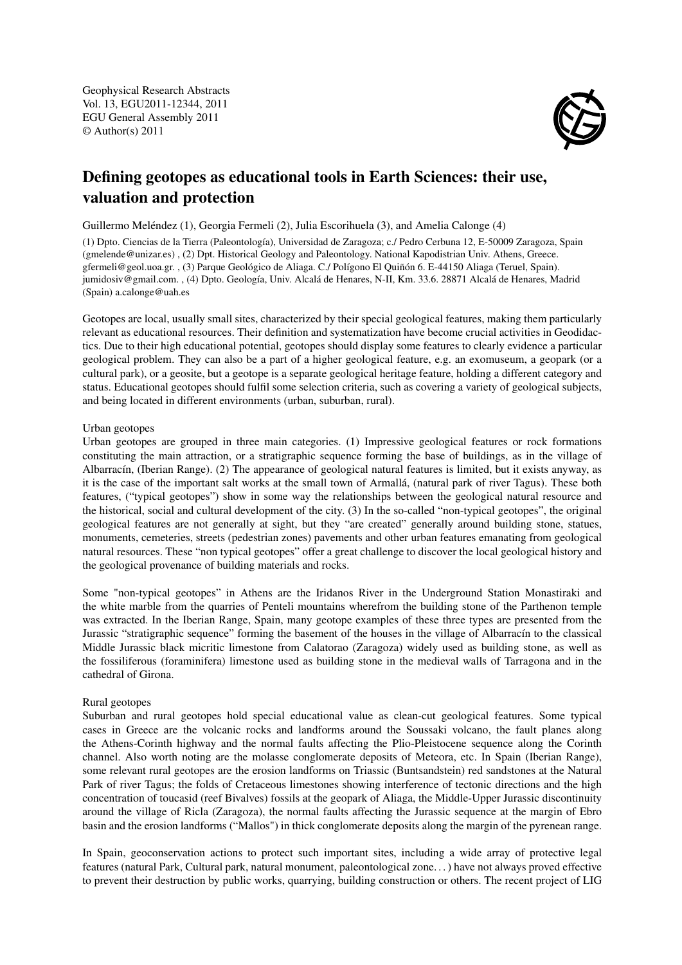Geophysical Research Abstracts Vol. 13, EGU2011-12344, 2011 EGU General Assembly 2011 © Author(s) 2011



## Defining geotopes as educational tools in Earth Sciences: their use, valuation and protection

Guillermo Meléndez (1), Georgia Fermeli (2), Julia Escorihuela (3), and Amelia Calonge (4)

(1) Dpto. Ciencias de la Tierra (Paleontología), Universidad de Zaragoza; c./ Pedro Cerbuna 12, E-50009 Zaragoza, Spain (gmelende@unizar.es) , (2) Dpt. Historical Geology and Paleontology. National Kapodistrian Univ. Athens, Greece. gfermeli@geol.uoa.gr. , (3) Parque Geológico de Aliaga. C./ Polígono El Quiñón 6. E-44150 Aliaga (Teruel, Spain). jumidosiv@gmail.com. , (4) Dpto. Geología, Univ. Alcalá de Henares, N-II, Km. 33.6. 28871 Alcalá de Henares, Madrid (Spain) a.calonge@uah.es

Geotopes are local, usually small sites, characterized by their special geological features, making them particularly relevant as educational resources. Their definition and systematization have become crucial activities in Geodidactics. Due to their high educational potential, geotopes should display some features to clearly evidence a particular geological problem. They can also be a part of a higher geological feature, e.g. an exomuseum, a geopark (or a cultural park), or a geosite, but a geotope is a separate geological heritage feature, holding a different category and status. Educational geotopes should fulfil some selection criteria, such as covering a variety of geological subjects, and being located in different environments (urban, suburban, rural).

## Urban geotopes

Urban geotopes are grouped in three main categories. (1) Impressive geological features or rock formations constituting the main attraction, or a stratigraphic sequence forming the base of buildings, as in the village of Albarracín, (Iberian Range). (2) The appearance of geological natural features is limited, but it exists anyway, as it is the case of the important salt works at the small town of Armallá, (natural park of river Tagus). These both features, ("typical geotopes") show in some way the relationships between the geological natural resource and the historical, social and cultural development of the city. (3) In the so-called "non-typical geotopes", the original geological features are not generally at sight, but they "are created" generally around building stone, statues, monuments, cemeteries, streets (pedestrian zones) pavements and other urban features emanating from geological natural resources. These "non typical geotopes" offer a great challenge to discover the local geological history and the geological provenance of building materials and rocks.

Some "non-typical geotopes" in Athens are the Iridanos River in the Underground Station Monastiraki and the white marble from the quarries of Penteli mountains wherefrom the building stone of the Parthenon temple was extracted. In the Iberian Range, Spain, many geotope examples of these three types are presented from the Jurassic "stratigraphic sequence" forming the basement of the houses in the village of Albarracín to the classical Middle Jurassic black micritic limestone from Calatorao (Zaragoza) widely used as building stone, as well as the fossiliferous (foraminifera) limestone used as building stone in the medieval walls of Tarragona and in the cathedral of Girona.

## Rural geotopes

Suburban and rural geotopes hold special educational value as clean-cut geological features. Some typical cases in Greece are the volcanic rocks and landforms around the Soussaki volcano, the fault planes along the Athens-Corinth highway and the normal faults affecting the Plio-Pleistocene sequence along the Corinth channel. Also worth noting are the molasse conglomerate deposits of Meteora, etc. In Spain (Iberian Range), some relevant rural geotopes are the erosion landforms on Triassic (Buntsandstein) red sandstones at the Natural Park of river Tagus; the folds of Cretaceous limestones showing interference of tectonic directions and the high concentration of toucasid (reef Bivalves) fossils at the geopark of Aliaga, the Middle-Upper Jurassic discontinuity around the village of Ricla (Zaragoza), the normal faults affecting the Jurassic sequence at the margin of Ebro basin and the erosion landforms ("Mallos") in thick conglomerate deposits along the margin of the pyrenean range.

In Spain, geoconservation actions to protect such important sites, including a wide array of protective legal features (natural Park, Cultural park, natural monument, paleontological zone. . . ) have not always proved effective to prevent their destruction by public works, quarrying, building construction or others. The recent project of LIG